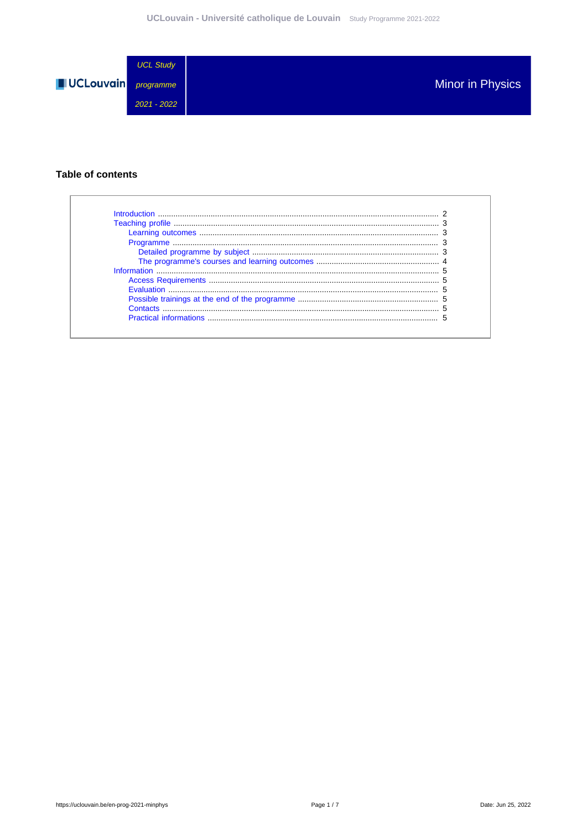

## **Table of contents**

| Introduction |  |
|--------------|--|
|              |  |
|              |  |
|              |  |
|              |  |
|              |  |
|              |  |
|              |  |
|              |  |
|              |  |
|              |  |
|              |  |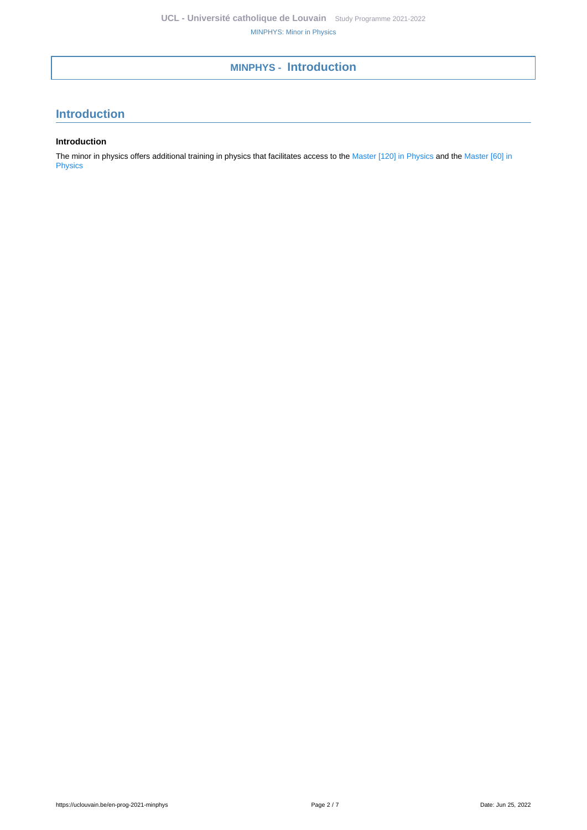# **MINPHYS - Introduction**

# <span id="page-1-0"></span>**Introduction**

### **Introduction**

The minor in physics offers additional training in physics that facilitates access to the [Master \[120\] in Physics](https://uclouvain.be/en-prog-2021-phys2m) and the [Master \[60\] in](https://uclouvain.be/en-prog-2021-phys2m1) [Physics](https://uclouvain.be/en-prog-2021-phys2m1)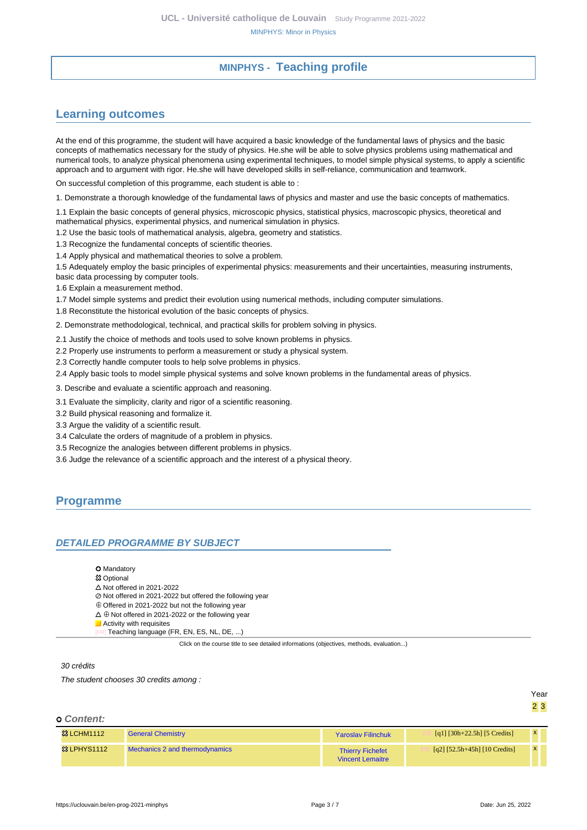# **MINPHYS - Teaching profile**

# <span id="page-2-1"></span><span id="page-2-0"></span>**Learning outcomes**

At the end of this programme, the student will have acquired a basic knowledge of the fundamental laws of physics and the basic concepts of mathematics necessary for the study of physics. He.she will be able to solve physics problems using mathematical and numerical tools, to analyze physical phenomena using experimental techniques, to model simple physical systems, to apply a scientific approach and to argument with rigor. He.she will have developed skills in self-reliance, communication and teamwork.

On successful completion of this programme, each student is able to :

1. Demonstrate a thorough knowledge of the fundamental laws of physics and master and use the basic concepts of mathematics.

1.1 Explain the basic concepts of general physics, microscopic physics, statistical physics, macroscopic physics, theoretical and mathematical physics, experimental physics, and numerical simulation in physics.

1.2 Use the basic tools of mathematical analysis, algebra, geometry and statistics.

1.3 Recognize the fundamental concepts of scientific theories.

1.4 Apply physical and mathematical theories to solve a problem.

1.5 Adequately employ the basic principles of experimental physics: measurements and their uncertainties, measuring instruments, basic data processing by computer tools.

1.6 Explain a measurement method.

1.7 Model simple systems and predict their evolution using numerical methods, including computer simulations.

1.8 Reconstitute the historical evolution of the basic concepts of physics.

2. Demonstrate methodological, technical, and practical skills for problem solving in physics.

2.1 Justify the choice of methods and tools used to solve known problems in physics.

2.2 Properly use instruments to perform a measurement or study a physical system.

2.3 Correctly handle computer tools to help solve problems in physics.

2.4 Apply basic tools to model simple physical systems and solve known problems in the fundamental areas of physics.

3. Describe and evaluate a scientific approach and reasoning.

3.1 Evaluate the simplicity, clarity and rigor of a scientific reasoning.

3.2 Build physical reasoning and formalize it.

3.3 Argue the validity of a scientific result.

3.4 Calculate the orders of magnitude of a problem in physics.

3.5 Recognize the analogies between different problems in physics.

3.6 Judge the relevance of a scientific approach and the interest of a physical theory.

## <span id="page-2-2"></span>**Programme**

#### <span id="page-2-3"></span>**DETAILED PROGRAMME BY SUBJECT**

**O** Mandatory

**83 Optional** 

 $\triangle$  Not offered in 2021-2022

Not offered in 2021-2022 but offered the following year

Offered in 2021-2022 but not the following year

 $\Delta \oplus$  Not offered in 2021-2022 or the following year **Activity with requisites** 

Teaching language (FR, EN, ES, NL, DE, ...)

Click on the course title to see detailed informations (objectives, methods, evaluation...)

#### 30 crédits

The student chooses 30 credits among :

Year 2 3

#### **Content:**

| <b>83 LCHM1112</b>     | <b>General Chemistry</b>       | <b>Yaroslav Filinchuk</b>                          | [q1] $[30h+22.5h]$ [5 Credits]  |  |
|------------------------|--------------------------------|----------------------------------------------------|---------------------------------|--|
| <b>&amp; LPHYS1112</b> | Mechanics 2 and thermodynamics | <b>Thierry Fichefet</b><br><b>Vincent Lemaitre</b> | $[q2] [52.5h+45h] [10 Credits]$ |  |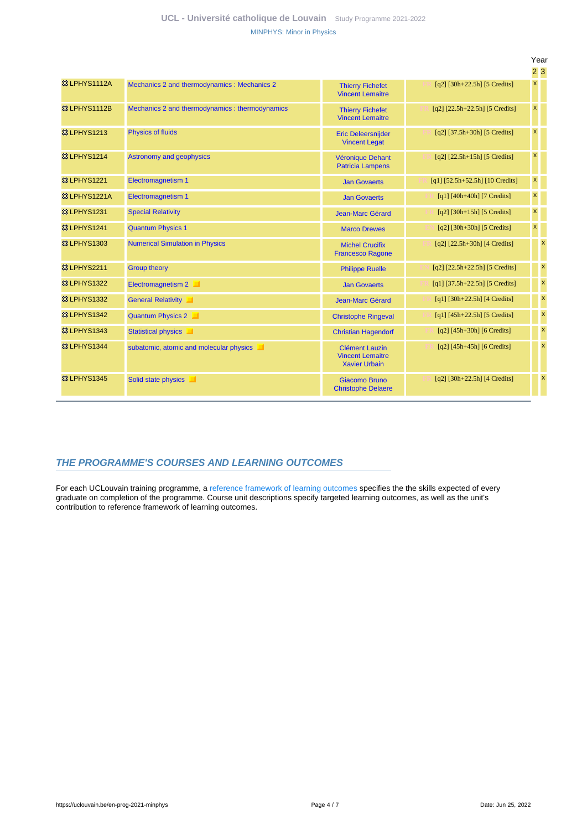|                         |                                                |                                                                          |                                      |                           | 23                        |
|-------------------------|------------------------------------------------|--------------------------------------------------------------------------|--------------------------------------|---------------------------|---------------------------|
| 83 LPHYS1112A           | Mechanics 2 and thermodynamics: Mechanics 2    | <b>Thierry Fichefet</b><br><b>Vincent Lemaitre</b>                       | $[q2]$ [30h+22.5h] [5 Credits]       | $\pmb{\mathsf{x}}$        |                           |
| 83 LPHYS1112B           | Mechanics 2 and thermodynamics: thermodynamics | <b>Thierry Fichefet</b><br><b>Vincent Lemaitre</b>                       | $[q2]$ $[22.5h+22.5h]$ $[5$ Credits] | $\pmb{\mathsf{x}}$        |                           |
| <b>&amp; LPHYS1213</b>  | <b>Physics of fluids</b>                       | <b>Eric Deleersnijder</b><br><b>Vincent Legat</b>                        | $[q2]$ [37.5h+30h] [5 Credits]       | $\boldsymbol{\mathsf{x}}$ |                           |
| <b>&amp; LPHYS1214</b>  | Astronomy and geophysics                       | Véronique Dehant<br><b>Patricia Lampens</b>                              | $[q2]$ [22.5h+15h] [5 Credits]       | $\boldsymbol{\mathsf{x}}$ |                           |
| <b>&amp; LPHYS1221</b>  | <b>Electromagnetism 1</b>                      | <b>Jan Govaerts</b>                                                      | $[q1]$ [52.5h+52.5h] [10 Credits]    | $\pmb{\mathsf{x}}$        |                           |
| 83 LPHYS1221A           | <b>Electromagnetism 1</b>                      | <b>Jan Govaerts</b>                                                      | $[q1] [40h+40h] [7 Credits]$         | $\pmb{\mathsf{x}}$        |                           |
| <b>&amp; LPHYS1231</b>  | <b>Special Relativity</b>                      | Jean-Marc Gérard                                                         | $[q2]$ [30h+15h] [5 Credits]         | $\pmb{\mathsf{x}}$        |                           |
| <b>&amp;3 LPHYS1241</b> | <b>Quantum Physics 1</b>                       | <b>Marco Drewes</b>                                                      | $[q2]$ [30h+30h] [5 Credits]         | $\pmb{\mathsf{x}}$        |                           |
| <b>&amp; LPHYS1303</b>  | <b>Numerical Simulation in Physics</b>         | <b>Michel Crucifix</b><br><b>Francesco Ragone</b>                        | $[q2]$ [22.5h+30h] [4 Credits]       |                           | $\boldsymbol{\mathsf{x}}$ |
| 8 LPHYS2211             | <b>Group theory</b>                            | <b>Philippe Ruelle</b>                                                   | $[q2]$ [22.5h+22.5h] [5 Credits]     |                           | $\boldsymbol{\mathsf{x}}$ |
| <b>&amp; LPHYS1322</b>  | Electromagnetism 2<br>ш                        | <b>Jan Govaerts</b>                                                      | $[q1]$ [37.5h+22.5h] [5 Credits]     |                           | $\boldsymbol{\mathsf{x}}$ |
| <b>&amp; LPHYS1332</b>  | General Relativity                             | <b>Jean-Marc Gérard</b>                                                  | $[q1]$ [30h+22.5h] [4 Credits]       |                           | $\boldsymbol{\mathsf{x}}$ |
| <b>&amp; LPHYS1342</b>  | Quantum Physics 2                              | <b>Christophe Ringeval</b>                                               | $[q1] [45h+22.5h] [5 Credits]$       |                           | $\boldsymbol{\mathsf{x}}$ |
| <b>&amp; LPHYS1343</b>  | <b>Statistical physics</b><br>ш                | <b>Christian Hagendorf</b>                                               | $[q2]$ [45h+30h] [6 Credits]         |                           | $\boldsymbol{\mathsf{x}}$ |
| <b>&amp;3 LPHYS1344</b> | subatomic, atomic and molecular physics        | <b>Clément Lauzin</b><br><b>Vincent Lemaitre</b><br><b>Xavier Urbain</b> | $[q2]$ [45h+45h] [6 Credits]         |                           | $\boldsymbol{\mathsf{x}}$ |
| <b>&amp; LPHYS1345</b>  | Solid state physics                            | Giacomo Bruno<br><b>Christophe Delaere</b>                               | $[q2]$ [30h+22.5h] [4 Credits]       |                           | $\mathbf{x}$              |

## <span id="page-3-0"></span>**THE PROGRAMME'S COURSES AND LEARNING OUTCOMES**

For each UCLouvain training programme, a [reference framework of learning outcomes](https://uclouvain.be/en-prog-2021-minphys-competences_et_acquis.html) specifies the the skills expected of every graduate on completion of the programme. Course unit descriptions specify targeted learning outcomes, as well as the unit's contribution to reference framework of learning outcomes.

Year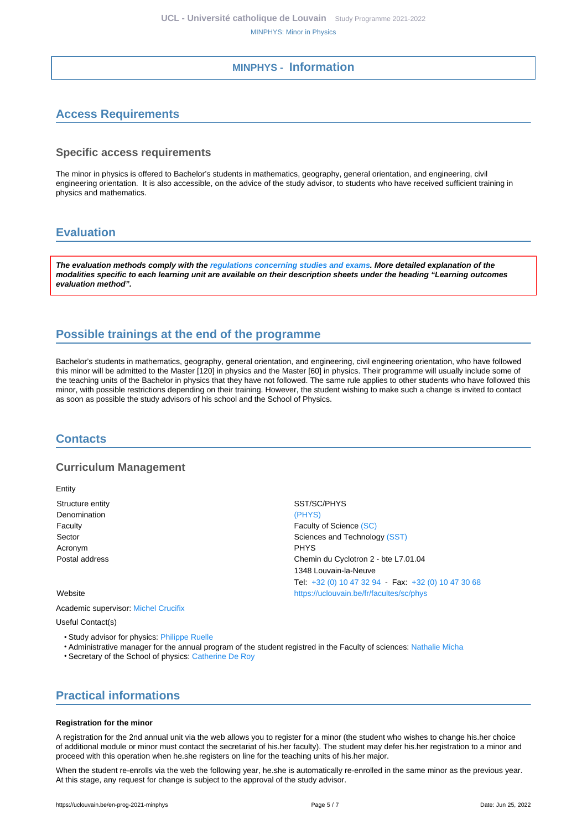## **MINPHYS - Information**

# <span id="page-4-1"></span><span id="page-4-0"></span>**Access Requirements**

### **Specific access requirements**

The minor in physics is offered to Bachelor's students in mathematics, geography, general orientation, and engineering, civil engineering orientation. It is also accessible, on the advice of the study advisor, to students who have received sufficient training in physics and mathematics.

# <span id="page-4-2"></span>**Evaluation**

**The evaluation methods comply with the [regulations concerning studies and exams](https://uclouvain.be/fr/decouvrir/rgee.html). More detailed explanation of the modalities specific to each learning unit are available on their description sheets under the heading "Learning outcomes evaluation method".**

# <span id="page-4-3"></span>**Possible trainings at the end of the programme**

Bachelor's students in mathematics, geography, general orientation, and engineering, civil engineering orientation, who have followed this minor will be admitted to the Master [120] in physics and the Master [60] in physics. Their programme will usually include some of the teaching units of the Bachelor in physics that they have not followed. The same rule applies to other students who have followed this minor, with possible restrictions depending on their training. However, the student wishing to make such a change is invited to contact as soon as possible the study advisors of his school and the School of Physics.

## <span id="page-4-4"></span>**Contacts**

## **Curriculum Management**

Entity Structure entity Structure entity SST/SC/PHYS

Denomination [\(PHYS\)](https://uclouvain.be/repertoires/entites/phys) Acronym **PHYS** 

Faculty **Faculty Faculty Faculty Faculty Faculty Faculty Faculty Faculty Faculty Faculty Faculty Faculty Faculty Faculty Faculty Faculty Faculty Faculty Faculty Faculty Faculty Fac** Sector Sector Sector Sciences and Technology [\(SST\)](https://uclouvain.be/repertoires/entites/sst) Postal address Chemin du Cyclotron 2 - bte L7.01.04 1348 Louvain-la-Neuve Tel: [+32 \(0\) 10 47 32 94](https://uclouvain.be/tel:+3210473294) - Fax: [+32 \(0\) 10 47 30 68](https://uclouvain.be/tel:+3210473068) Website **<https://uclouvain.be/fr/facultes/sc/phys>** 

Academic supervisor: [Michel Crucifix](https://uclouvain.be/repertoires/michel.crucifix)

Useful Contact(s)

- Study advisor for physics: [Philippe Ruelle](https://uclouvain.be/repertoires/philippe.ruelle)
- Administrative manager for the annual program of the student registred in the Faculty of sciences: [Nathalie Micha](https://uclouvain.be/repertoires/nathalie.micha)
- Secretary of the School of physics: [Catherine De Roy](https://uclouvain.be/repertoires/catherine.deroy)

# <span id="page-4-5"></span>**Practical informations**

#### **Registration for the minor**

A registration for the 2nd annual unit via the web allows you to register for a minor (the student who wishes to change his.her choice of additional module or minor must contact the secretariat of his.her faculty). The student may defer his.her registration to a minor and proceed with this operation when he.she registers on line for the teaching units of his.her major.

When the student re-enrolls via the web the following year, he.she is automatically re-enrolled in the same minor as the previous year. At this stage, any request for change is subject to the approval of the study advisor.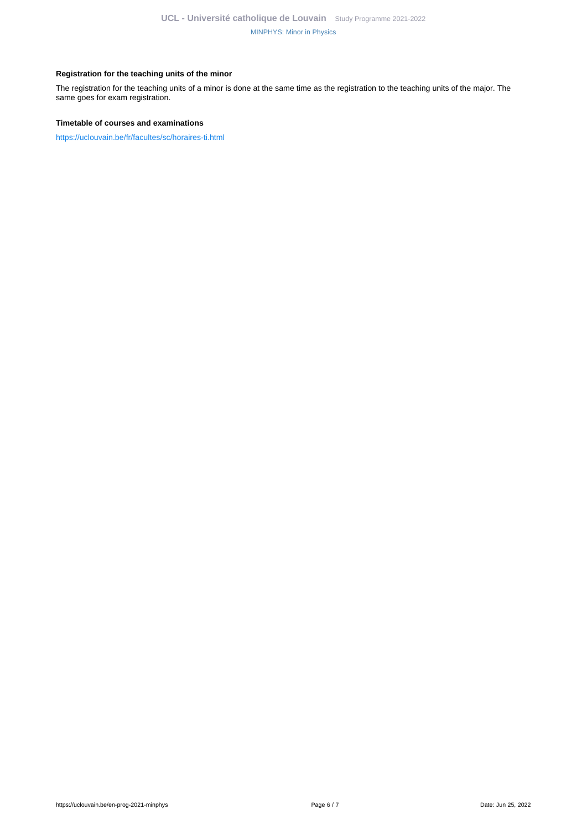#### **Registration for the teaching units of the minor**

The registration for the teaching units of a minor is done at the same time as the registration to the teaching units of the major. The same goes for exam registration.

#### **Timetable of courses and examinations**

<https://uclouvain.be/fr/facultes/sc/horaires-ti.html>